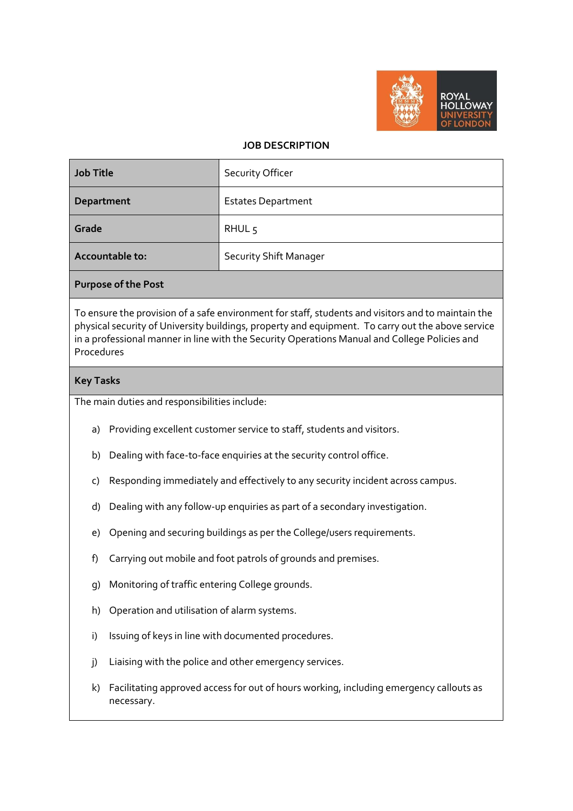

## **JOB DESCRIPTION**

| Job Title       | <b>Security Officer</b>       |
|-----------------|-------------------------------|
| Department      | <b>Estates Department</b>     |
| Grade           | RHUL <sub>5</sub>             |
| Accountable to: | <b>Security Shift Manager</b> |

## **Purpose of the Post**

To ensure the provision of a safe environment for staff, students and visitors and to maintain the physical security of University buildings, property and equipment. To carry out the above service in a professional manner in line with the Security Operations Manual and College Policies and Procedures

## **Key Tasks**

The main duties and responsibilities include:

- a) Providing excellent customer service to staff, students and visitors.
- b) Dealing with face-to-face enquiries at the security control office.
- c) Responding immediately and effectively to any security incident across campus.
- d) Dealing with any follow-up enquiries as part of a secondary investigation.
- e) Opening and securing buildings as per the College/users requirements.
- f) Carrying out mobile and foot patrols of grounds and premises.
- g) Monitoring of traffic entering College grounds.
- h) Operation and utilisation of alarm systems.
- i) Issuing of keys in line with documented procedures.
- j) Liaising with the police and other emergency services.
- k) Facilitating approved access for out of hours working, including emergency callouts as necessary.